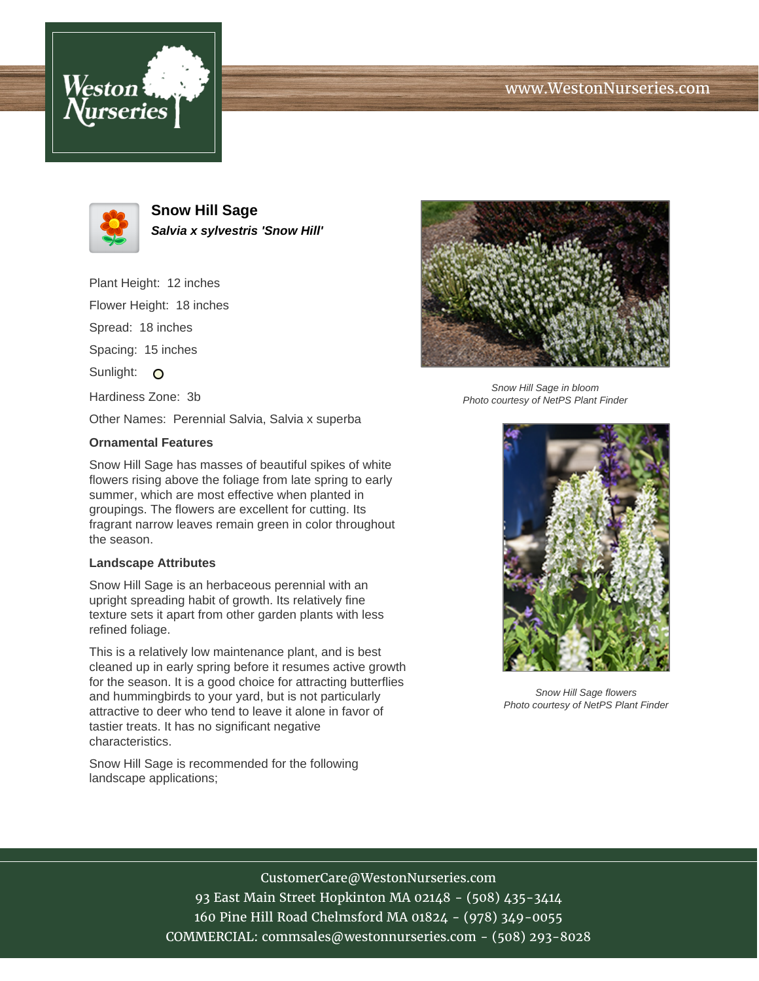





**Snow Hill Sage Salvia x sylvestris 'Snow Hill'**

Plant Height: 12 inches Flower Height: 18 inches Spread: 18 inches Spacing: 15 inches Sunlight: O Hardiness Zone: 3b Other Names: Perennial Salvia, Salvia x superba

## **Ornamental Features**

Snow Hill Sage has masses of beautiful spikes of white flowers rising above the foliage from late spring to early summer, which are most effective when planted in groupings. The flowers are excellent for cutting. Its fragrant narrow leaves remain green in color throughout the season.

## **Landscape Attributes**

Snow Hill Sage is an herbaceous perennial with an upright spreading habit of growth. Its relatively fine texture sets it apart from other garden plants with less refined foliage.

This is a relatively low maintenance plant, and is best cleaned up in early spring before it resumes active growth for the season. It is a good choice for attracting butterflies and hummingbirds to your yard, but is not particularly attractive to deer who tend to leave it alone in favor of tastier treats. It has no significant negative characteristics.

Snow Hill Sage is recommended for the following landscape applications;



Snow Hill Sage in bloom Photo courtesy of NetPS Plant Finder



Snow Hill Sage flowers Photo courtesy of NetPS Plant Finder

CustomerCare@WestonNurseries.com 93 East Main Street Hopkinton MA 02148 - (508) 435-3414 160 Pine Hill Road Chelmsford MA 01824 - (978) 349-0055 COMMERCIAL: commsales@westonnurseries.com - (508) 293-8028